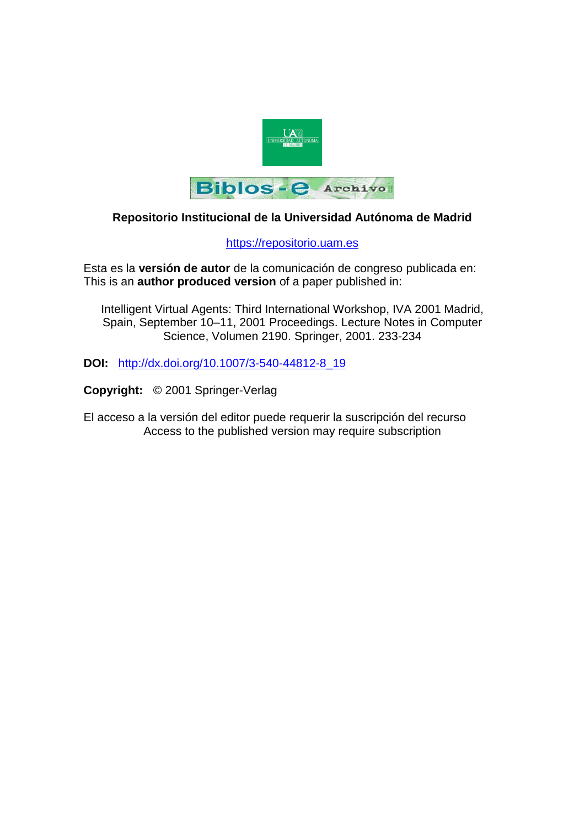

# **Repositorio Institucional de la Universidad Autónoma de Madrid**

## [https://repositorio.uam.es](https://repositorio.uam.es/)

Esta es la **versión de autor** de la comunicación de congreso publicada en: This is an **author produced version** of a paper published in:

Intelligent Virtual Agents: Third International Workshop, IVA 2001 Madrid, Spain, September 10–11, 2001 Proceedings. Lecture Notes in Computer Science, Volumen 2190. Springer, 2001. 233-234

**DOI:** [http://dx.doi.org/10.1007/3-540-44812-8\\_19](http://dx.doi.org/10.1007/3-540-44812-8_19)

**Copyright:** © 2001 Springer-Verlag

El acceso a la versión del editor puede requerir la suscripción del recurso Access to the published version may require subscription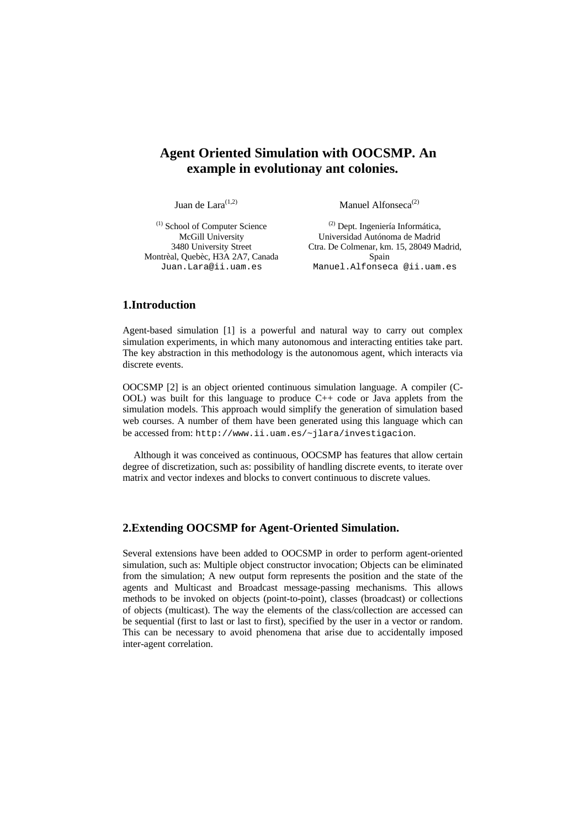## **Agent Oriented Simulation with OOCSMP. An example in evolutionay ant colonies.**

Juan de Lara<sup>(1,2)</sup> Manuel Alfonseca<sup>(2)</sup>

(1) School of Computer Science McGill University 3480 University Street Montrèal, Quebèc, H3A 2A7, Canada Juan.Lara@ii.uam.es

(2) Dept. Ingeniería Informática, Universidad Autónoma de Madrid Ctra. De Colmenar, km. 15, 28049 Madrid, Spain Manuel.Alfonseca @ii.uam.es

### **1.Introduction**

Agent-based simulation [1] is a powerful and natural way to carry out complex simulation experiments, in which many autonomous and interacting entities take part. The key abstraction in this methodology is the autonomous agent, which interacts via discrete events.

OOCSMP [2] is an object oriented continuous simulation language. A compiler (C-OOL) was built for this language to produce C++ code or Java applets from the simulation models. This approach would simplify the generation of simulation based web courses. A number of them have been generated using this language which can be accessed from: http://www.ii.uam.es/~jlara/investigacion.

Although it was conceived as continuous, OOCSMP has features that allow certain degree of discretization, such as: possibility of handling discrete events, to iterate over matrix and vector indexes and blocks to convert continuous to discrete values.

#### **2.Extending OOCSMP for Agent-Oriented Simulation.**

Several extensions have been added to OOCSMP in order to perform agent-oriented simulation, such as: Multiple object constructor invocation; Objects can be eliminated from the simulation; A new output form represents the position and the state of the agents and Multicast and Broadcast message-passing mechanisms. This allows methods to be invoked on objects (point-to-point), classes (broadcast) or collections of objects (multicast). The way the elements of the class/collection are accessed can be sequential (first to last or last to first), specified by the user in a vector or random. This can be necessary to avoid phenomena that arise due to accidentally imposed inter-agent correlation.